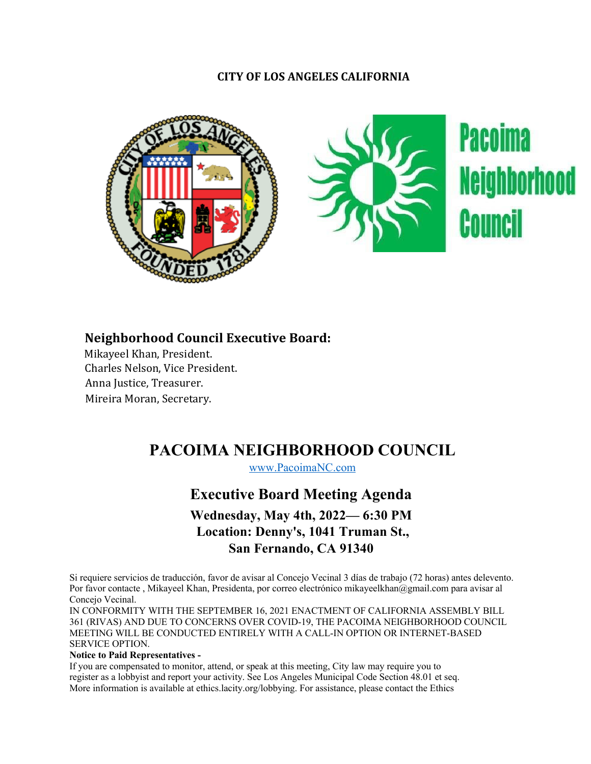## **CITY OF LOS ANGELES CALIFORNIA**



## **Neighborhood Council Executive Board:**

Mikayeel Khan, President. Charles Nelson, Vice President. Anna Justice, Treasurer. Mireira Moran, Secretary.

# **PACOIMA NEIGHBORHOOD COUNCIL**

www.PacoimaNC.com

## **Executive Board Meeting Agenda**

**Wednesday, May 4th, 2022— 6:30 PM Location: Denny's, 1041 Truman St., San Fernando, CA 91340**

Si requiere servicios de traducción, favor de avisar al Concejo Vecinal 3 días de trabajo (72 horas) antes delevento. Por favor contacte , Mikayeel Khan, Presidenta, por correo electrónico mikayeelkhan@gmail.com para avisar al Concejo Vecinal.

IN CONFORMITY WITH THE SEPTEMBER 16, 2021 ENACTMENT OF CALIFORNIA ASSEMBLY BILL 361 (RIVAS) AND DUE TO CONCERNS OVER COVID-19, THE PACOIMA NEIGHBORHOOD COUNCIL MEETING WILL BE CONDUCTED ENTIRELY WITH A CALL-IN OPTION OR INTERNET-BASED SERVICE OPTION.

#### **Notice to Paid Representatives -**

If you are compensated to monitor, attend, or speak at this meeting, City law may require you to register as a lobbyist and report your activity. See Los Angeles Municipal Code Section 48.01 et seq. More information is available at ethics.lacity.org/lobbying. For assistance, please contact the Ethics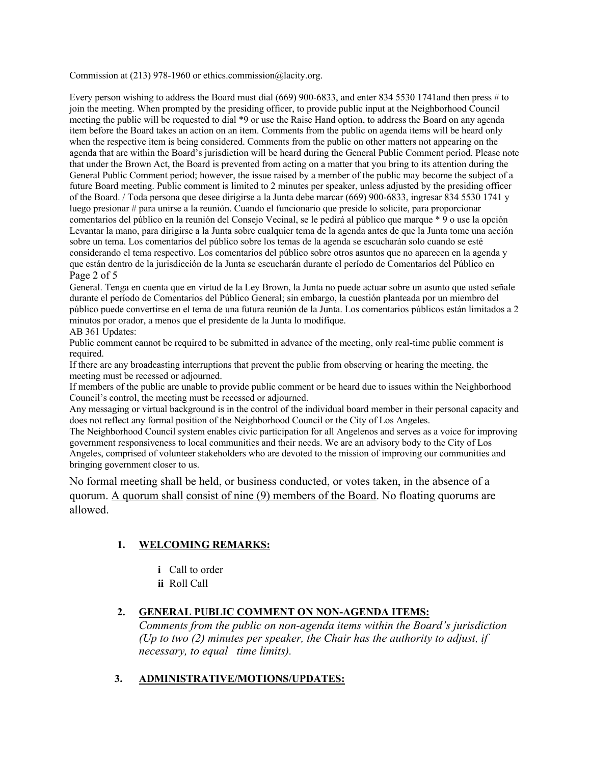Commission at (213) 978-1960 or ethics.commission@lacity.org.

Every person wishing to address the Board must dial (669) 900-6833, and enter 834 5530 1741and then press # to join the meeting. When prompted by the presiding officer, to provide public input at the Neighborhood Council meeting the public will be requested to dial \*9 or use the Raise Hand option, to address the Board on any agenda item before the Board takes an action on an item. Comments from the public on agenda items will be heard only when the respective item is being considered. Comments from the public on other matters not appearing on the agenda that are within the Board's jurisdiction will be heard during the General Public Comment period. Please note that under the Brown Act, the Board is prevented from acting on a matter that you bring to its attention during the General Public Comment period; however, the issue raised by a member of the public may become the subject of a future Board meeting. Public comment is limited to 2 minutes per speaker, unless adjusted by the presiding officer of the Board. / Toda persona que desee dirigirse a la Junta debe marcar (669) 900-6833, ingresar 834 5530 1741 y luego presionar # para unirse a la reunión. Cuando el funcionario que preside lo solicite, para proporcionar comentarios del público en la reunión del Consejo Vecinal, se le pedirá al público que marque \* 9 o use la opción Levantar la mano, para dirigirse a la Junta sobre cualquier tema de la agenda antes de que la Junta tome una acción sobre un tema. Los comentarios del público sobre los temas de la agenda se escucharán solo cuando se esté considerando el tema respectivo. Los comentarios del público sobre otros asuntos que no aparecen en la agenda y que están dentro de la jurisdicción de la Junta se escucharán durante el período de Comentarios del Público en Page 2 of 5

General. Tenga en cuenta que en virtud de la Ley Brown, la Junta no puede actuar sobre un asunto que usted señale durante el período de Comentarios del Público General; sin embargo, la cuestión planteada por un miembro del público puede convertirse en el tema de una futura reunión de la Junta. Los comentarios públicos están limitados a 2 minutos por orador, a menos que el presidente de la Junta lo modifique.

AB 361 Updates:

Public comment cannot be required to be submitted in advance of the meeting, only real-time public comment is required.

If there are any broadcasting interruptions that prevent the public from observing or hearing the meeting, the meeting must be recessed or adjourned.

If members of the public are unable to provide public comment or be heard due to issues within the Neighborhood Council's control, the meeting must be recessed or adjourned.

Any messaging or virtual background is in the control of the individual board member in their personal capacity and does not reflect any formal position of the Neighborhood Council or the City of Los Angeles.

The Neighborhood Council system enables civic participation for all Angelenos and serves as a voice for improving government responsiveness to local communities and their needs. We are an advisory body to the City of Los Angeles, comprised of volunteer stakeholders who are devoted to the mission of improving our communities and bringing government closer to us.

No formal meeting shall be held, or business conducted, or votes taken, in the absence of a quorum. A quorum shall consist of nine (9) members of the Board. No floating quorums are allowed.

#### **1. WELCOMING REMARKS:**

- **i** Call to order
- **ii** Roll Call

### **2. GENERAL PUBLIC COMMENT ON NON-AGENDA ITEMS:**

*Comments from the public on non-agenda items within the Board's jurisdiction (Up to two (2) minutes per speaker, the Chair has the authority to adjust, if necessary, to equal time limits).*

**3. ADMINISTRATIVE/MOTIONS/UPDATES:**